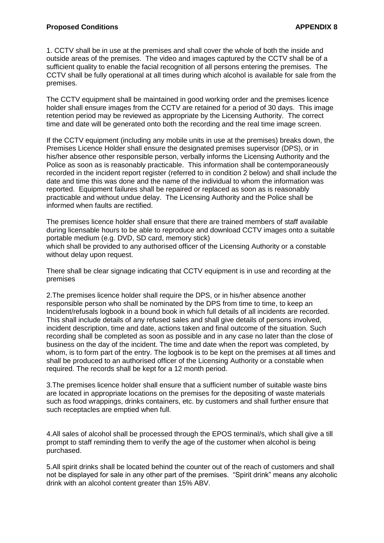1. CCTV shall be in use at the premises and shall cover the whole of both the inside and outside areas of the premises. The video and images captured by the CCTV shall be of a sufficient quality to enable the facial recognition of all persons entering the premises. The CCTV shall be fully operational at all times during which alcohol is available for sale from the premises.

The CCTV equipment shall be maintained in good working order and the premises licence holder shall ensure images from the CCTV are retained for a period of 30 days. This image retention period may be reviewed as appropriate by the Licensing Authority. The correct time and date will be generated onto both the recording and the real time image screen.

If the CCTV equipment (including any mobile units in use at the premises) breaks down, the Premises Licence Holder shall ensure the designated premises supervisor (DPS), or in his/her absence other responsible person, verbally informs the Licensing Authority and the Police as soon as is reasonably practicable. This information shall be contemporaneously recorded in the incident report register (referred to in condition 2 below) and shall include the date and time this was done and the name of the individual to whom the information was reported. Equipment failures shall be repaired or replaced as soon as is reasonably practicable and without undue delay. The Licensing Authority and the Police shall be informed when faults are rectified.

The premises licence holder shall ensure that there are trained members of staff available during licensable hours to be able to reproduce and download CCTV images onto a suitable portable medium (e.g. DVD, SD card, memory stick) which shall be provided to any authorised officer of the Licensing Authority or a constable without delay upon request.

There shall be clear signage indicating that CCTV equipment is in use and recording at the premises

2.The premises licence holder shall require the DPS, or in his/her absence another responsible person who shall be nominated by the DPS from time to time, to keep an Incident/refusals logbook in a bound book in which full details of all incidents are recorded. This shall include details of any refused sales and shall give details of persons involved, incident description, time and date, actions taken and final outcome of the situation. Such recording shall be completed as soon as possible and in any case no later than the close of business on the day of the incident. The time and date when the report was completed, by whom, is to form part of the entry. The logbook is to be kept on the premises at all times and shall be produced to an authorised officer of the Licensing Authority or a constable when required. The records shall be kept for a 12 month period.

3.The premises licence holder shall ensure that a sufficient number of suitable waste bins are located in appropriate locations on the premises for the depositing of waste materials such as food wrappings, drinks containers, etc. by customers and shall further ensure that such receptacles are emptied when full.

4.All sales of alcohol shall be processed through the EPOS terminal/s, which shall give a till prompt to staff reminding them to verify the age of the customer when alcohol is being purchased.

5.All spirit drinks shall be located behind the counter out of the reach of customers and shall not be displayed for sale in any other part of the premises. "Spirit drink" means any alcoholic drink with an alcohol content greater than 15% ABV.